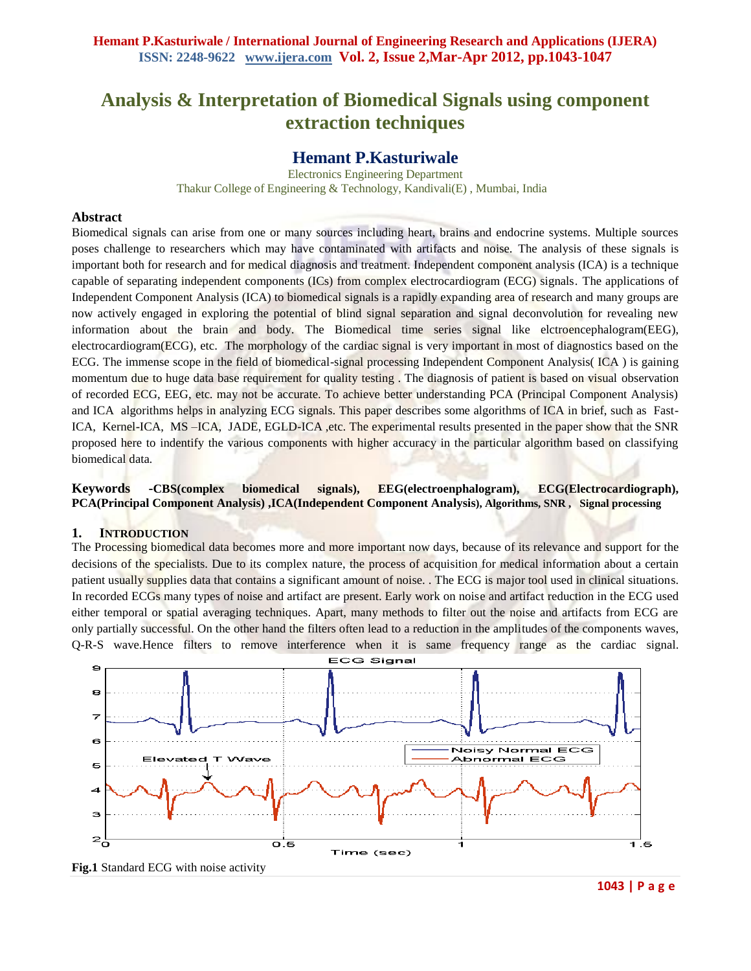# **Analysis & Interpretation of Biomedical Signals using component extraction techniques**

# **Hemant P.Kasturiwale**

Electronics Engineering Department Thakur College of Engineering & Technology, Kandivali(E) , Mumbai, India

#### **Abstract**

Biomedical signals can arise from one or many sources including heart, brains and endocrine systems. Multiple sources poses challenge to researchers which may have contaminated with artifacts and noise. The analysis of these signals is important both for research and for medical diagnosis and treatment. Independent component analysis (ICA) is a technique capable of separating independent components (ICs) from complex electrocardiogram (ECG) signals. The applications of Independent Component Analysis (ICA) to biomedical signals is a rapidly expanding area of research and many groups are now actively engaged in exploring the potential of blind signal separation and signal deconvolution for revealing new information about the brain and body. The Biomedical time series signal like elctroencephalogram(EEG), electrocardiogram(ECG), etc. The morphology of the cardiac signal is very important in most of diagnostics based on the ECG. The immense scope in the field of biomedical-signal processing Independent Component Analysis( ICA ) is gaining momentum due to huge data base requirement for quality testing. The diagnosis of patient is based on visual observation of recorded ECG, EEG, etc. may not be accurate. To achieve better understanding PCA (Principal Component Analysis) and ICA algorithms helps in analyzing ECG signals. This paper describes some algorithms of ICA in brief, such as Fast-ICA, Kernel-ICA, MS –ICA, JADE, EGLD-ICA ,etc. The experimental results presented in the paper show that the SNR proposed here to indentify the various components with higher accuracy in the particular algorithm based on classifying biomedical data*.*

**Keywords -CBS(complex biomedical signals), EEG(electroenphalogram), ECG(Electrocardiograph), PCA(Principal Component Analysis) ,ICA(Independent Component Analysis), Algorithms, SNR , Signal processing**

### **1. INTRODUCTION**

The Processing biomedical data becomes more and more important now days, because of its relevance and support for the decisions of the specialists. Due to its complex nature, the process of acquisition for medical information about a certain patient usually supplies data that contains a significant amount of noise. . The ECG is major tool used in clinical situations. In recorded ECGs many types of noise and artifact are present. Early work on noise and artifact reduction in the ECG used either temporal or spatial averaging techniques. Apart, many methods to filter out the noise and artifacts from ECG are only partially successful. On the other hand the filters often lead to a reduction in the amplitudes of the components waves, Q-R-S wave.Hence filters to remove interference when it is same frequency range as the cardiac signal.



**1043 | P a g e**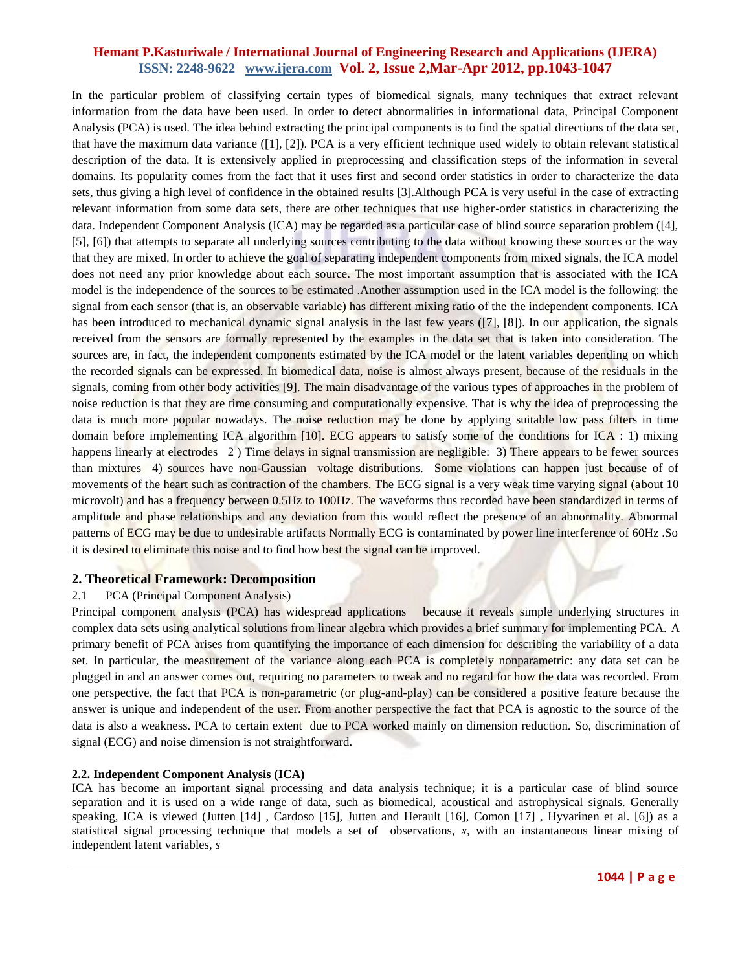In the particular problem of classifying certain types of biomedical signals, many techniques that extract relevant information from the data have been used. In order to detect abnormalities in informational data, Principal Component Analysis (PCA) is used. The idea behind extracting the principal components is to find the spatial directions of the data set, that have the maximum data variance  $([1], [2])$ . PCA is a very efficient technique used widely to obtain relevant statistical description of the data. It is extensively applied in preprocessing and classification steps of the information in several domains. Its popularity comes from the fact that it uses first and second order statistics in order to characterize the data sets, thus giving a high level of confidence in the obtained results [3].Although PCA is very useful in the case of extracting relevant information from some data sets, there are other techniques that use higher-order statistics in characterizing the data. Independent Component Analysis (ICA) may be regarded as a particular case of blind source separation problem ([4], [5], [6]) that attempts to separate all underlying sources contributing to the data without knowing these sources or the way that they are mixed. In order to achieve the goal of separating independent components from mixed signals, the ICA model does not need any prior knowledge about each source. The most important assumption that is associated with the ICA model is the independence of the sources to be estimated .Another assumption used in the ICA model is the following: the signal from each sensor (that is, an observable variable) has different mixing ratio of the the independent components. ICA has been introduced to mechanical dynamic signal analysis in the last few years ([7], [8]). In our application, the signals received from the sensors are formally represented by the examples in the data set that is taken into consideration. The sources are, in fact, the independent components estimated by the ICA model or the latent variables depending on which the recorded signals can be expressed. In biomedical data, noise is almost always present, because of the residuals in the signals, coming from other body activities [9]. The main disadvantage of the various types of approaches in the problem of noise reduction is that they are time consuming and computationally expensive. That is why the idea of preprocessing the data is much more popular nowadays. The noise reduction may be done by applying suitable low pass filters in time domain before implementing ICA algorithm [10]. ECG appears to satisfy some of the conditions for ICA : 1) mixing happens linearly at electrodes 2) Time delays in signal transmission are negligible: 3) There appears to be fewer sources than mixtures 4) sources have non-Gaussian voltage distributions. Some violations can happen just because of of movements of the heart such as contraction of the chambers. The ECG signal is a very weak time varying signal (about 10) microvolt) and has a frequency between 0.5Hz to 100Hz. The waveforms thus recorded have been standardized in terms of amplitude and phase relationships and any deviation from this would reflect the presence of an abnormality. Abnormal patterns of ECG may be due to undesirable artifacts Normally ECG is contaminated by power line interference of 60Hz .So it is desired to eliminate this noise and to find how best the signal can be improved.

#### **2. Theoretical Framework: Decomposition**

#### 2.1 PCA (Principal Component Analysis)

Principal component analysis (PCA) has widespread applications because it reveals simple underlying structures in complex data sets using analytical solutions from linear algebra which provides a brief summary for implementing PCA. A primary benefit of PCA arises from quantifying the importance of each dimension for describing the variability of a data set. In particular, the measurement of the variance along each PCA is completely nonparametric: any data set can be plugged in and an answer comes out, requiring no parameters to tweak and no regard for how the data was recorded. From one perspective, the fact that PCA is non-parametric (or plug-and-play) can be considered a positive feature because the answer is unique and independent of the user. From another perspective the fact that PCA is agnostic to the source of the data is also a weakness. PCA to certain extent due to PCA worked mainly on dimension reduction. So, discrimination of signal (ECG) and noise dimension is not straightforward.

#### **2.2. Independent Component Analysis (ICA)**

ICA has become an important signal processing and data analysis technique; it is a particular case of blind source separation and it is used on a wide range of data, such as biomedical, acoustical and astrophysical signals. Generally speaking, ICA is viewed (Jutten [14], Cardoso [15], Jutten and Herault [16], Comon [17], Hyvarinen et al. [6]) as a statistical signal processing technique that models a set of observations, *x*, with an instantaneous linear mixing of independent latent variables, *s*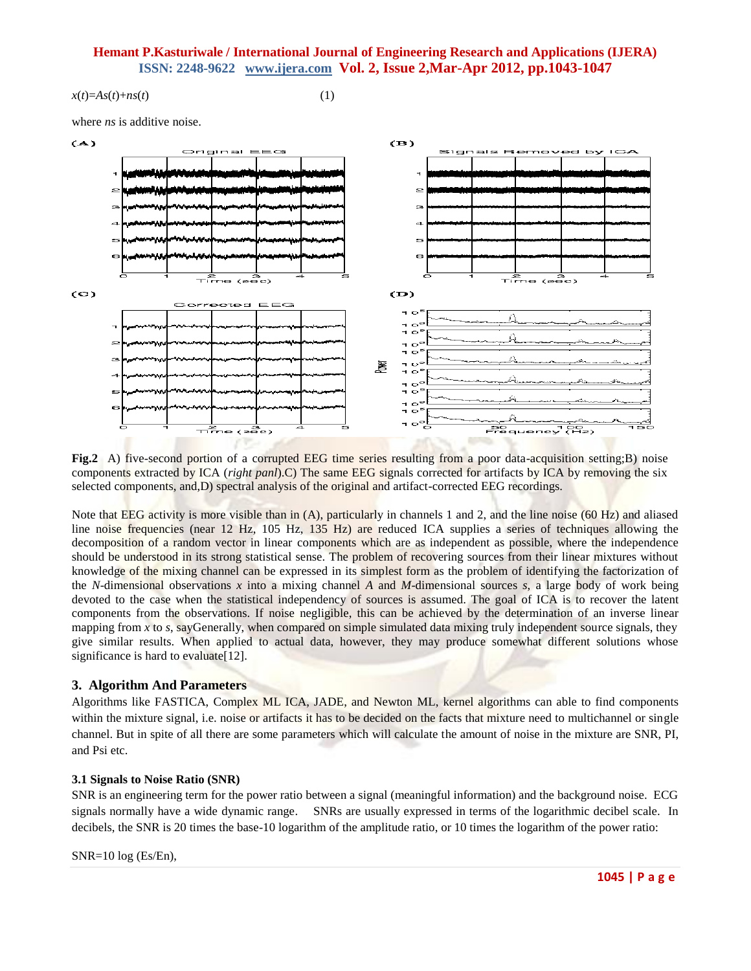$x(t)=As(t)+ns(t)$  (1)

where *ns* is additive noise.



**Fig.2** A) five-second portion of a corrupted EEG time series resulting from a poor data-acquisition setting;B) noise components extracted by ICA (*right panl*).C) The same EEG signals corrected for artifacts by ICA by removing the six selected components, and,D) spectral analysis of the original and artifact-corrected EEG recordings.

Note that EEG activity is more visible than in (A), particularly in channels 1 and 2, and the line noise (60 Hz) and aliased line noise frequencies (near 12 Hz, 105 Hz, 135 Hz) are reduced ICA supplies a series of techniques allowing the decomposition of a random vector in linear components which are as independent as possible, where the independence should be understood in its strong statistical sense. The problem of recovering sources from their linear mixtures without knowledge of the mixing channel can be expressed in its simplest form as the problem of identifying the factorization of the *N*-dimensional observations *x* into a mixing channel *A* and *M*-dimensional sources *s*, a large body of work being devoted to the case when the statistical independency of sources is assumed. The goal of ICA is to recover the latent components from the observations. If noise negligible, this can be achieved by the determination of an inverse linear mapping from  $x$  to  $s$ , sayGenerally, when compared on simple simulated data mixing truly independent source signals, they give similar results. When applied to actual data, however, they may produce somewhat different solutions whose significance is hard to evaluate<sup>[12]</sup>.

#### **3. Algorithm And Parameters**

Algorithms like FASTICA, Complex ML ICA, JADE, and Newton ML, kernel algorithms can able to find components within the mixture signal, i.e. noise or artifacts it has to be decided on the facts that mixture need to multichannel or single channel. But in spite of all there are some parameters which will calculate the amount of noise in the mixture are SNR, PI, and Psi etc.

#### **3.1 Signals to Noise Ratio (SNR)**

SNR is an engineering term for the power ratio between a signal (meaningful information) and the background noise. ECG signals normally have a wide dynamic range. SNRs are usually expressed in terms of the logarithmic decibel scale. In decibels, the SNR is 20 times the base-10 logarithm of the amplitude ratio, or 10 times the logarithm of the power ratio:

SNR=10 log (Es/En),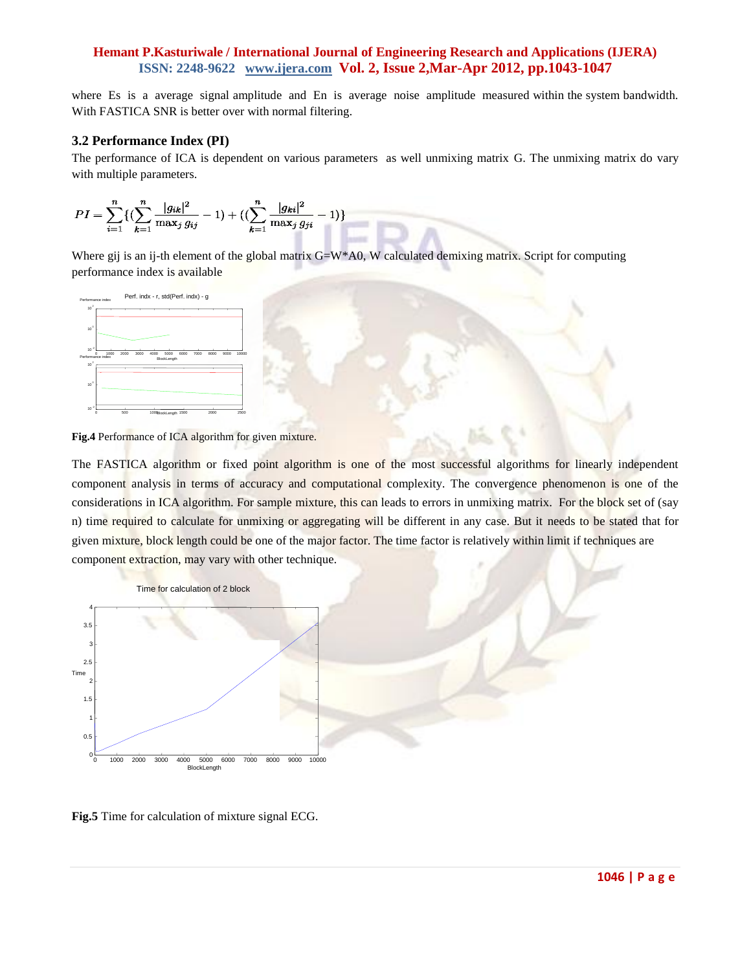where Es is a average signal amplitude and En is average noise amplitude measured within the system bandwidth. With FASTICA SNR is better over with normal filtering.

### **3.2 Performance Index (PI)**

The performance of ICA is dependent on various parameters as well unmixing matrix G. The unmixing matrix do vary with multiple parameters.

$$
PI = \sum_{i=1}^{n} \{ (\sum_{k=1}^{n} \frac{|g_{ik}|^2}{\max_j g_{ij}} - 1) + ((\sum_{k=1}^{n} \frac{|g_{ki}|^2}{\max_j g_{ji}} - 1) \}
$$

Where gij is an ij-th element of the global matrix  $G=W^*A0$ , W calculated demixing matrix. Script for computing performance index is available



**Fig.4** Performance of ICA algorithm for given mixture.

The FASTICA algorithm or fixed point algorithm is one of the most successful algorithms for linearly independent component analysis in terms of accuracy and computational complexity. The convergence phenomenon is one of the considerations in ICA algorithm. For sample mixture, this can leads to errors in unmixing matrix. For the block set of (say n) time required to calculate for unmixing or aggregating will be different in any case. But it needs to be stated that for given mixture, block length could be one of the major factor. The time factor is relatively within limit if techniques are component extraction, may vary with other technique.



**Fig.5** Time for calculation of mixture signal ECG.